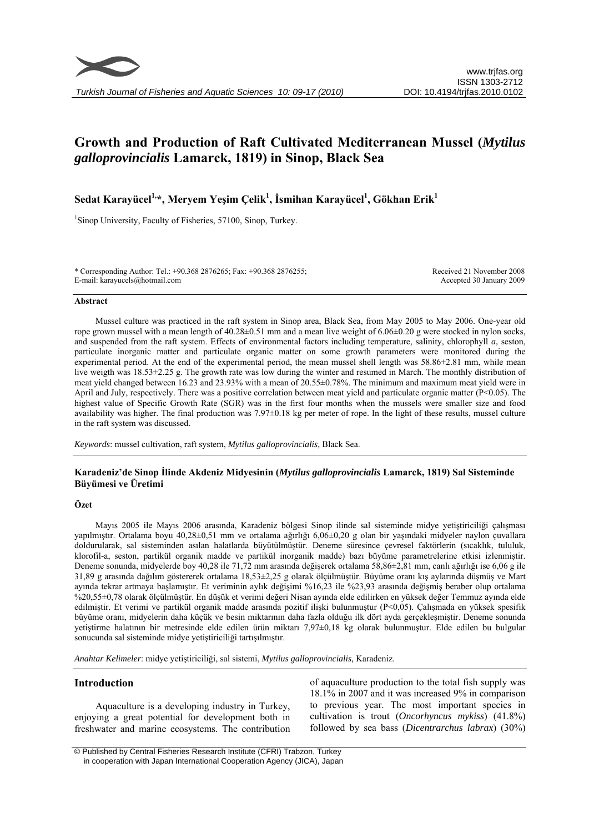

# **Growth and Production of Raft Cultivated Mediterranean Mussel (***Mytilus galloprovincialis* **Lamarck, 1819) in Sinop, Black Sea**

**Sedat Karayücel1,\*, Meryem Yeşim Çelik<sup>1</sup> , İsmihan Karayücel<sup>1</sup> , Gökhan Erik<sup>1</sup>**

<sup>1</sup>Sinop University, Faculty of Fisheries, 57100, Sinop, Turkey.

\* Corresponding Author: Tel.: +90.368 2876265; Fax: +90.368 2876255; E-mail: karayucels@hotmail.com

Received 21 November 2008 Accepted 30 January 2009

#### **Abstract**

Mussel culture was practiced in the raft system in Sinop area, Black Sea, from May 2005 to May 2006. One-year old rope grown mussel with a mean length of  $40.28 \pm 0.51$  mm and a mean live weight of  $6.06 \pm 0.20$  g were stocked in nylon socks, and suspended from the raft system. Effects of environmental factors including temperature, salinity, chlorophyll *a,* seston, particulate inorganic matter and particulate organic matter on some growth parameters were monitored during the experimental period. At the end of the experimental period, the mean mussel shell length was 58.86±2.81 mm, while mean live weigth was 18.53±2.25 g. The growth rate was low during the winter and resumed in March. The monthly distribution of meat yield changed between 16.23 and 23.93% with a mean of 20.55±0.78%. The minimum and maximum meat yield were in April and July, respectively. There was a positive correlation between meat yield and particulate organic matter  $(P< 0.05)$ . The highest value of Specific Growth Rate (SGR) was in the first four months when the mussels were smaller size and food availability was higher. The final production was  $7.97\pm0.18$  kg per meter of rope. In the light of these results, mussel culture in the raft system was discussed.

*Keywords*: mussel cultivation, raft system, *Mytilus galloprovincialis,* Black Sea.

# **Karadeniz'de Sinop İlinde Akdeniz Midyesinin (***Mytilus galloprovincialis* **Lamarck, 1819) Sal Sisteminde Büyümesi ve Üretimi**

# **Özet**

Mayıs 2005 ile Mayıs 2006 arasında, Karadeniz bölgesi Sinop ilinde sal sisteminde midye yetiştiriciliği çalışması yapılmıştır. Ortalama boyu 40,28±0,51 mm ve ortalama ağırlığı 6,06±0,20 g olan bir yaşındaki midyeler naylon çuvallara doldurularak, sal sisteminden asılan halatlarda büyütülmüştür. Deneme süresince çevresel faktörlerin (sıcaklık, tululuk, klorofil-a, seston, partikül organik madde ve partikül inorganik madde) bazı büyüme parametrelerine etkisi izlenmiştir. Deneme sonunda, midyelerde boy 40,28 ile 71,72 mm arasında değişerek ortalama 58,86±2,81 mm, canlı ağırlığı ise 6,06 g ile 31,89 g arasında dağılım göstererek ortalama 18,53±2,25 g olarak ölçülmüştür. Büyüme oranı kış aylarında düşmüş ve Mart ayında tekrar artmaya başlamıştır. Et veriminin aylık değişimi %16,23 ile %23,93 arasında değişmiş beraber olup ortalama %20,55±0,78 olarak ölçülmüştür. En düşük et verimi değeri Nisan ayında elde edilirken en yüksek değer Temmuz ayında elde edilmiştir. Et verimi ve partikül organik madde arasında pozitif ilişki bulunmuştur (P<0,05). Çalışmada en yüksek spesifik büyüme oranı, midyelerin daha küçük ve besin miktarının daha fazla olduğu ilk dört ayda gerçekleşmiştir. Deneme sonunda yetiştirme halatının bir metresinde elde edilen ürün miktarı 7,97±0,18 kg olarak bulunmuştur. Elde edilen bu bulgular sonucunda sal sisteminde midye yetiştiriciliği tartışılmıştır.

*Anahtar Kelimeler*: midye yetiştiriciliği, sal sistemi, *Mytilus galloprovincialis,* Karadeniz.

# **Introduction**

Aquaculture is a developing industry in Turkey, enjoying a great potential for development both in freshwater and marine ecosystems. The contribution

of aquaculture production to the total fish supply was 18.1% in 2007 and it was increased 9% in comparison to previous year. The most important species in cultivation is trout (*Oncorhyncus mykiss*) (41.8%) followed by sea bass (*Dicentrarchus labrax*) (30%)

 © Published by Central Fisheries Research Institute (CFRI) Trabzon, Turkey in cooperation with Japan International Cooperation Agency (JICA), Japan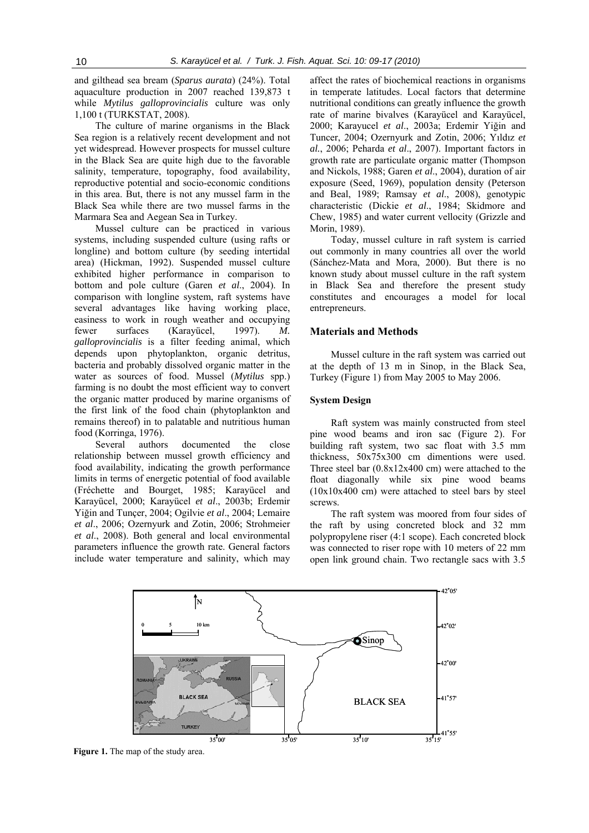and gilthead sea bream (*Sparus aurata*) (24%). Total aquaculture production in 2007 reached 139,873 t while *Mytilus galloprovincialis* culture was only 1,100 t (TURKSTAT, 2008).

The culture of marine organisms in the Black Sea region is a relatively recent development and not yet widespread. However prospects for mussel culture in the Black Sea are quite high due to the favorable salinity, temperature, topography, food availability, reproductive potential and socio-economic conditions in this area. But, there is not any mussel farm in the Black Sea while there are two mussel farms in the Marmara Sea and Aegean Sea in Turkey.

Mussel culture can be practiced in various systems, including suspended culture (using rafts or longline) and bottom culture (by seeding intertidal area) (Hickman, 1992). Suspended mussel culture exhibited higher performance in comparison to bottom and pole culture (Garen *et al*., 2004). In comparison with longline system, raft systems have several advantages like having working place, easiness to work in rough weather and occupying fewer surfaces (Karayücel, 1997). *M. galloprovincialis* is a filter feeding animal, which depends upon phytoplankton, organic detritus, bacteria and probably dissolved organic matter in the water as sources of food. Mussel (*Mytilus* spp.) farming is no doubt the most efficient way to convert the organic matter produced by marine organisms of the first link of the food chain (phytoplankton and remains thereof) in to palatable and nutritious human food (Korringa, 1976).

Several authors documented the close relationship between mussel growth efficiency and food availability, indicating the growth performance limits in terms of energetic potential of food available (Fréchette and Bourget, 1985; Karayücel and Karayücel, 2000; Karayücel *et al*., 2003b; Erdemir Yiğin and Tunçer, 2004; Ogilvie *et al*., 2004; Lemaire *et al*., 2006; Ozernyurk and Zotin, 2006; Strohmeier *et al*., 2008). Both general and local environmental parameters influence the growth rate. General factors include water temperature and salinity, which may

affect the rates of biochemical reactions in organisms in temperate latitudes. Local factors that determine nutritional conditions can greatly influence the growth rate of marine bivalves (Karayücel and Karayücel, 2000; Karayucel *et al*., 2003a; Erdemir Yiğin and Tuncer, 2004; Ozernyurk and Zotin, 2006; Yıldız *et al.*, 2006; Peharda *et al*., 2007). Important factors in growth rate are particulate organic matter (Thompson and Nickols, 1988; Garen *et al*., 2004), duration of air exposure (Seed, 1969), population density (Peterson and Beal, 1989; Ramsay *et al*., 2008), genotypic characteristic (Dickie *et al*., 1984; Skidmore and Chew, 1985) and water current vellocity (Grizzle and Morin, 1989).

Today, mussel culture in raft system is carried out commonly in many countries all over the world (Sánchez-Mata and Mora, 2000). But there is no known study about mussel culture in the raft system in Black Sea and therefore the present study constitutes and encourages a model for local entrepreneurs.

# **Materials and Methods**

Mussel culture in the raft system was carried out at the depth of 13 m in Sinop, in the Black Sea, Turkey (Figure 1) from May 2005 to May 2006.

#### **System Design**

Raft system was mainly constructed from steel pine wood beams and iron sac (Figure 2). For building raft system, two sac float with 3.5 mm thickness, 50x75x300 cm dimentions were used. Three steel bar (0.8x12x400 cm) were attached to the float diagonally while six pine wood beams (10x10x400 cm) were attached to steel bars by steel screws.

The raft system was moored from four sides of the raft by using concreted block and 32 mm polypropylene riser (4:1 scope). Each concreted block was connected to riser rope with 10 meters of 22 mm open link ground chain. Two rectangle sacs with 3.5



**Figure 1.** The map of the study area.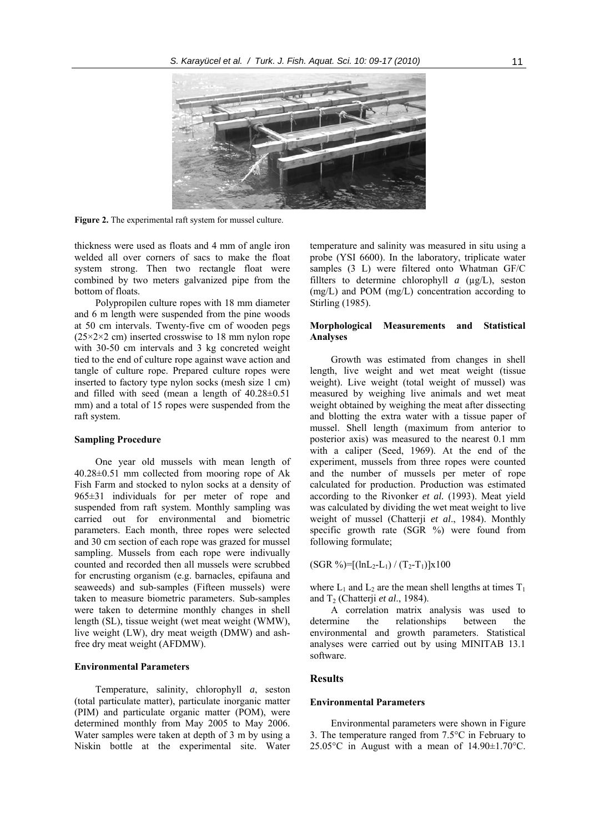

**Figure 2.** The experimental raft system for mussel culture.

thickness were used as floats and 4 mm of angle iron welded all over corners of sacs to make the float system strong. Then two rectangle float were combined by two meters galvanized pipe from the bottom of floats.

Polypropilen culture ropes with 18 mm diameter and 6 m length were suspended from the pine woods at 50 cm intervals. Twenty-five cm of wooden pegs  $(25\times2\times2$  cm) inserted crosswise to 18 mm nylon rope with 30-50 cm intervals and 3 kg concreted weight tied to the end of culture rope against wave action and tangle of culture rope. Prepared culture ropes were inserted to factory type nylon socks (mesh size 1 cm) and filled with seed (mean a length of 40.28±0.51 mm) and a total of 15 ropes were suspended from the raft system.

# **Sampling Procedure**

One year old mussels with mean length of 40.28±0.51 mm collected from mooring rope of Ak Fish Farm and stocked to nylon socks at a density of 965±31 individuals for per meter of rope and suspended from raft system. Monthly sampling was carried out for environmental and biometric parameters. Each month, three ropes were selected and 30 cm section of each rope was grazed for mussel sampling. Mussels from each rope were indivually counted and recorded then all mussels were scrubbed for encrusting organism (e.g. barnacles, epifauna and seaweeds) and sub-samples (Fifteen mussels) were taken to measure biometric parameters. Sub-samples were taken to determine monthly changes in shell length (SL), tissue weight (wet meat weight (WMW), live weight (LW), dry meat weigth (DMW) and ashfree dry meat weight (AFDMW).

# **Environmental Parameters**

Temperature, salinity, chlorophyll *a*, seston (total particulate matter), particulate inorganic matter (PIM) and particulate organic matter (POM), were determined monthly from May 2005 to May 2006. Water samples were taken at depth of 3 m by using a Niskin bottle at the experimental site. Water temperature and salinity was measured in situ using a probe (YSI 6600). In the laboratory, triplicate water samples (3 L) were filtered onto Whatman GF/C fillters to determine chlorophyll  $a$  ( $\mu$ g/L), seston (mg/L) and POM (mg/L) concentration according to Stirling (1985).

# **Morphological Measurements and Statistical Analyses**

Growth was estimated from changes in shell length, live weight and wet meat weight (tissue weight). Live weight (total weight of mussel) was measured by weighing live animals and wet meat weight obtained by weighing the meat after dissecting and blotting the extra water with a tissue paper of mussel. Shell length (maximum from anterior to posterior axis) was measured to the nearest 0.1 mm with a caliper (Seed, 1969). At the end of the experiment, mussels from three ropes were counted and the number of mussels per meter of rope calculated for production. Production was estimated according to the Rivonker *et al.* (1993). Meat yield was calculated by dividing the wet meat weight to live weight of mussel (Chatterji *et al*., 1984). Monthly specific growth rate (SGR %) were found from following formulate;

 $(SGR \%)=[(\ln L_2-L_1) / (T_2-T_1)]x100$ 

where  $L_1$  and  $L_2$  are the mean shell lengths at times  $T_1$ and  $T_2$  (Chatterji *et al.*, 1984).

A correlation matrix analysis was used to determine the relationships between the environmental and growth parameters. Statistical analyses were carried out by using MINITAB 13.1 software.

# **Results**

#### **Environmental Parameters**

Environmental parameters were shown in Figure 3. The temperature ranged from 7.5°C in February to 25.05 $\degree$ C in August with a mean of 14.90 $\pm$ 1.70 $\degree$ C.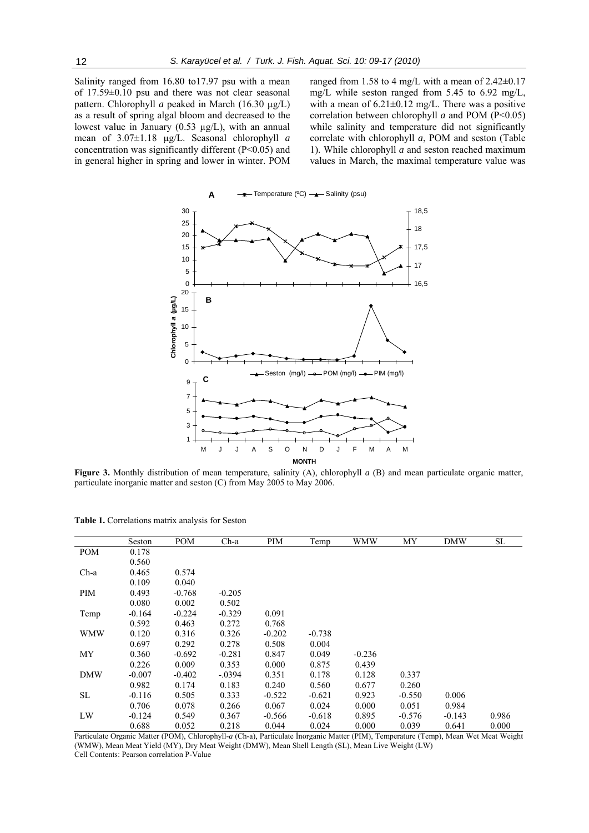Salinity ranged from 16.80 to17.97 psu with a mean of 17.59±0.10 psu and there was not clear seasonal pattern. Chlorophyll *a* peaked in March (16.30 µg/L) as a result of spring algal bloom and decreased to the lowest value in January  $(0.53 \mu g/L)$ , with an annual mean of 3.07±1.18 µg/L. Seasonal chlorophyll *a* concentration was significantly different (P<0.05) and in general higher in spring and lower in winter. POM ranged from 1.58 to 4 mg/L with a mean of 2.42±0.17 mg/L while seston ranged from 5.45 to 6.92 mg/L, with a mean of  $6.21 \pm 0.12$  mg/L. There was a positive correlation between chlorophyll *a* and POM (P<0.05) while salinity and temperature did not significantly correlate with chlorophyll *a*, POM and seston (Table 1). While chlorophyll *a* and seston reached maximum values in March, the maximal temperature value was



**Figure 3.** Monthly distribution of mean temperature, salinity (A), chlorophyll *a* (B) and mean particulate organic matter, particulate inorganic matter and seston (C) from May 2005 to May 2006.

|            | Seston   | <b>POM</b> | $Ch-a$   | PIM      | Temp     | WMW      | MY       | <b>DMW</b> | SL    |
|------------|----------|------------|----------|----------|----------|----------|----------|------------|-------|
| <b>POM</b> | 0.178    |            |          |          |          |          |          |            |       |
|            | 0.560    |            |          |          |          |          |          |            |       |
| $Ch-a$     | 0.465    | 0.574      |          |          |          |          |          |            |       |
|            | 0.109    | 0.040      |          |          |          |          |          |            |       |
| PIM        | 0.493    | $-0.768$   | $-0.205$ |          |          |          |          |            |       |
|            | 0.080    | 0.002      | 0.502    |          |          |          |          |            |       |
| Temp       | $-0.164$ | $-0.224$   | $-0.329$ | 0.091    |          |          |          |            |       |
|            | 0.592    | 0.463      | 0.272    | 0.768    |          |          |          |            |       |
| WMW        | 0.120    | 0.316      | 0.326    | $-0.202$ | $-0.738$ |          |          |            |       |
|            | 0.697    | 0.292      | 0.278    | 0.508    | 0.004    |          |          |            |       |
| MY         | 0.360    | $-0.692$   | $-0.281$ | 0.847    | 0.049    | $-0.236$ |          |            |       |
|            | 0.226    | 0.009      | 0.353    | 0.000    | 0.875    | 0.439    |          |            |       |
| <b>DMW</b> | $-0.007$ | $-0.402$   | $-.0394$ | 0.351    | 0.178    | 0.128    | 0.337    |            |       |
|            | 0.982    | 0.174      | 0.183    | 0.240    | 0.560    | 0.677    | 0.260    |            |       |
| SL         | $-0.116$ | 0.505      | 0.333    | $-0.522$ | $-0.621$ | 0.923    | $-0.550$ | 0.006      |       |
|            | 0.706    | 0.078      | 0.266    | 0.067    | 0.024    | 0.000    | 0.051    | 0.984      |       |
| LW         | $-0.124$ | 0.549      | 0.367    | $-0.566$ | $-0.618$ | 0.895    | $-0.576$ | $-0.143$   | 0.986 |
|            | 0.688    | 0.052      | 0.218    | 0.044    | 0.024    | 0.000    | 0.039    | 0.641      | 0.000 |

**Table 1.** Correlations matrix analysis for Seston

Particulate Organic Matter (POM), Chlorophyll-*a* (Ch-a), Particulate İnorganic Matter (PIM), Temperature (Temp), Mean Wet Meat Weight (WMW), Mean Meat Yield (MY), Dry Meat Weight (DMW), Mean Shell Length (SL), Mean Live Weight (LW) Cell Contents: Pearson correlation P-Value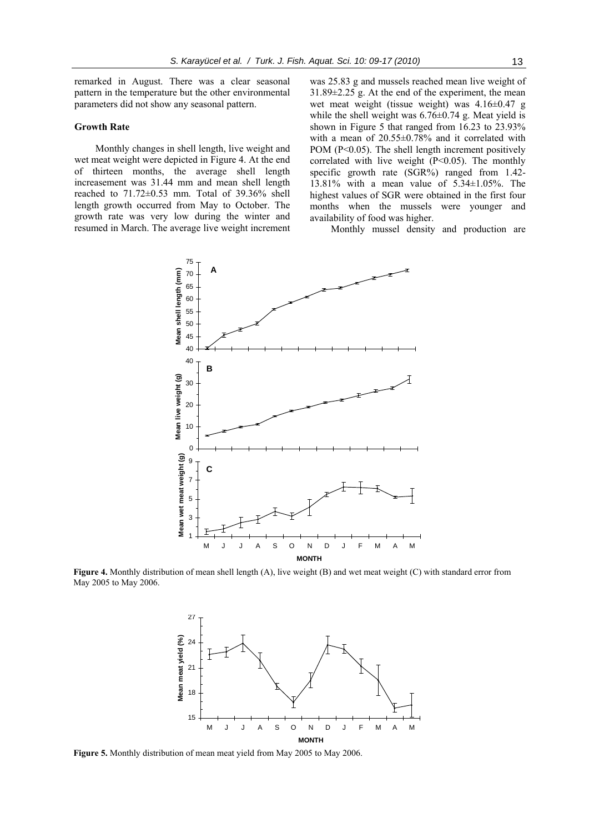remarked in August. There was a clear seasonal pattern in the temperature but the other environmental parameters did not show any seasonal pattern.

#### **Growth Rate**

Monthly changes in shell length, live weight and wet meat weight were depicted in Figure 4. At the end of thirteen months, the average shell length increasement was 31.44 mm and mean shell length reached to 71.72±0.53 mm. Total of 39.36% shell length growth occurred from May to October. The growth rate was very low during the winter and resumed in March. The average live weight increment

was 25.83 g and mussels reached mean live weight of  $31.89\pm2.25$  g. At the end of the experiment, the mean wet meat weight (tissue weight) was 4.16±0.47 g while the shell weight was  $6.76 \pm 0.74$  g. Meat yield is shown in Figure 5 that ranged from 16.23 to 23.93% with a mean of 20.55±0.78% and it correlated with POM (P<0.05). The shell length increment positively correlated with live weight  $(P<0.05)$ . The monthly specific growth rate (SGR%) ranged from 1.42- 13.81% with a mean value of 5.34±1.05%. The highest values of SGR were obtained in the first four months when the mussels were younger and availability of food was higher.

Monthly mussel density and production are



**Figure 4.** Monthly distribution of mean shell length (A), live weight (B) and wet meat weight (C) with standard error from May 2005 to May 2006.



**Figure 5.** Monthly distribution of mean meat yield from May 2005 to May 2006.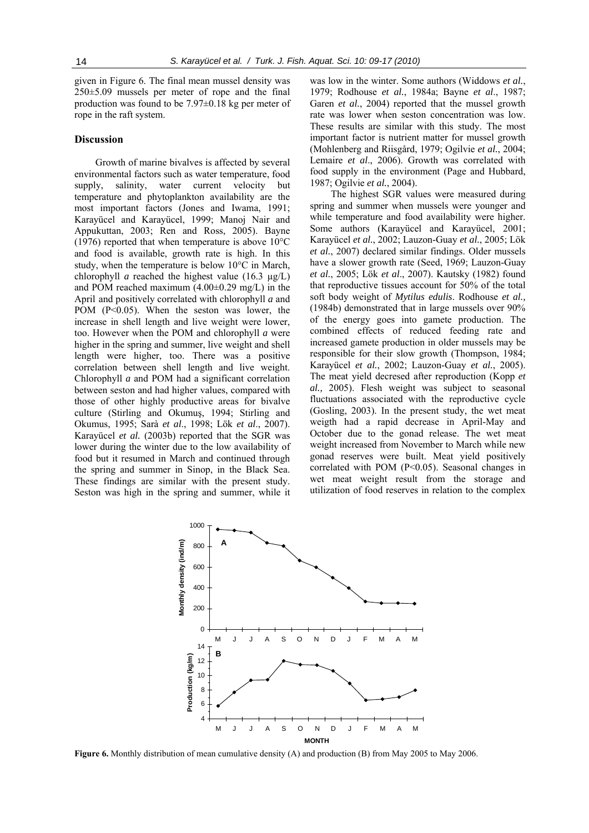given in Figure 6. The final mean mussel density was 250±5.09 mussels per meter of rope and the final production was found to be 7.97±0.18 kg per meter of rope in the raft system.

# **Discussion**

Growth of marine bivalves is affected by several environmental factors such as water temperature, food supply, salinity, water current velocity but temperature and phytoplankton availability are the most important factors (Jones and Iwama, 1991; Karayücel and Karayücel, 1999; Manoj Nair and Appukuttan, 2003; Ren and Ross, 2005). Bayne (1976) reported that when temperature is above 10°C and food is available, growth rate is high. In this study, when the temperature is below 10°C in March, chlorophyll *a* reached the highest value (16.3  $\mu$ g/L) and POM reached maximum  $(4.00\pm0.29 \text{ mg/L})$  in the April and positively correlated with chlorophyll *a* and POM (P<0.05). When the seston was lower, the increase in shell length and live weight were lower, too. However when the POM and chlorophyll *a* were higher in the spring and summer, live weight and shell length were higher, too. There was a positive correlation between shell length and live weight. Chlorophyll *a* and POM had a significant correlation between seston and had higher values, compared with those of other highly productive areas for bivalve culture (Stirling and Okumuş, 1994; Stirling and Okumus, 1995; Sarà *et al*., 1998; Lök *et al*., 2007). Karayücel *et al.* (2003b) reported that the SGR was lower during the winter due to the low availability of food but it resumed in March and continued through the spring and summer in Sinop, in the Black Sea. These findings are similar with the present study. Seston was high in the spring and summer, while it was low in the winter. Some authors (Widdows *et al.*, 1979; Rodhouse *et al.*, 1984a; Bayne *et al*., 1987; Garen *et al.*, 2004) reported that the mussel growth rate was lower when seston concentration was low. These results are similar with this study. The most important factor is nutrient matter for mussel growth (Mohlenberg and Riisgård, 1979; Ogilvie *et al.*, 2004; Lemaire *et al*., 2006). Growth was correlated with food supply in the environment (Page and Hubbard, 1987; Ogilvie *et al.*, 2004).

The highest SGR values were measured during spring and summer when mussels were younger and while temperature and food availability were higher. Some authors (Karayücel and Karayücel, 2001; Karayücel *et al.*, 2002; Lauzon-Guay *et al.*, 2005; Lök *et al.*, 2007) declared similar findings. Older mussels have a slower growth rate (Seed, 1969; Lauzon-Guay *et al.*, 2005; Lök *et al*., 2007). Kautsky (1982) found that reproductive tissues account for 50% of the total soft body weight of *Mytilus edulis*. Rodhouse *et al.,* (1984b) demonstrated that in large mussels over 90% of the energy goes into gamete production. The combined effects of reduced feeding rate and increased gamete production in older mussels may be responsible for their slow growth (Thompson, 1984; Karayücel *et al.*, 2002; Lauzon-Guay *et al.*, 2005). The meat yield decresed after reproduction (Kopp *et al.,* 2005). Flesh weight was subject to seasonal fluctuations associated with the reproductive cycle (Gosling, 2003). In the present study, the wet meat weigth had a rapid decrease in April-May and October due to the gonad release. The wet meat weight increased from November to March while new gonad reserves were built. Meat yield positively correlated with POM (P<0.05). Seasonal changes in wet meat weight result from the storage and utilization of food reserves in relation to the complex



**Figure 6.** Monthly distribution of mean cumulative density (A) and production (B) from May 2005 to May 2006.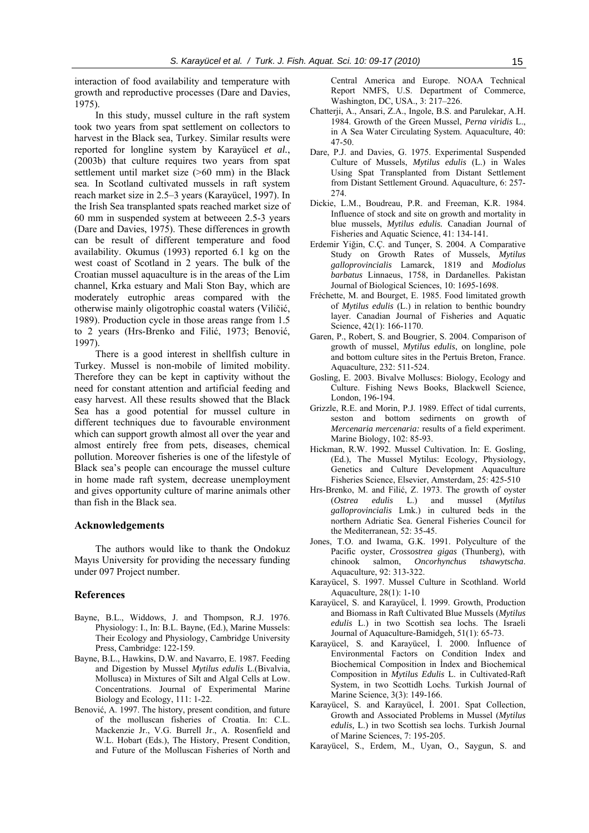interaction of food availability and temperature with growth and reproductive processes (Dare and Davies, 1975).

In this study, mussel culture in the raft system took two years from spat settlement on collectors to harvest in the Black sea, Turkey. Similar results were reported for longline system by Karayücel *et al.*, (2003b) that culture requires two years from spat settlement until market size (>60 mm) in the Black sea. In Scotland cultivated mussels in raft system reach market size in 2.5–3 years (Karayücel, 1997). In the Irish Sea transplanted spats reached market size of 60 mm in suspended system at betweeen 2.5-3 years (Dare and Davies, 1975). These differences in growth can be result of different temperature and food availability. Okumus (1993) reported 6.1 kg on the west coast of Scotland in 2 years. The bulk of the Croatian mussel aquaculture is in the areas of the Lim channel, Krka estuary and Mali Ston Bay, which are moderately eutrophic areas compared with the otherwise mainly oligotrophic coastal waters (Viličić, 1989). Production cycle in those areas range from 1.5 to 2 years (Hrs-Brenko and Filić, 1973; Benović, 1997).

There is a good interest in shellfish culture in Turkey. Mussel is non-mobile of limited mobility. Therefore they can be kept in captivity without the need for constant attention and artificial feeding and easy harvest. All these results showed that the Black Sea has a good potential for mussel culture in different techniques due to favourable environment which can support growth almost all over the year and almost entirely free from pets, diseases, chemical pollution. Moreover fisheries is one of the lifestyle of Black sea's people can encourage the mussel culture in home made raft system, decrease unemployment and gives opportunity culture of marine animals other than fish in the Black sea.

# **Acknowledgements**

The authors would like to thank the Ondokuz Mayıs University for providing the necessary funding under 097 Project number.

#### **References**

- Bayne, B.L., Widdows, J. and Thompson, R.J. 1976. Physiology: I., In: B.L. Bayne, (Ed.), Marine Mussels: Their Ecology and Physiology, Cambridge University Press, Cambridge: 122-159.
- Bayne, B.L., Hawkins, D.W. and Navarro, E. 1987*.* Feeding and Digestion by Mussel *Mytilus edulis* L.(Bivalvia, Mollusca) in Mixtures of Silt and Algal Cells at Low. Concentrations. Journal of Experimental Marine Biology and Ecology, 111: 1-22.
- Benović, A. 1997. The history, present condition, and future of the molluscan fisheries of Croatia. In: C.L. Mackenzie Jr., V.G. Burrell Jr., A. Rosenfield and W.L. Hobart (Eds.), The History, Present Condition, and Future of the Molluscan Fisheries of North and

Central America and Europe. NOAA Technical Report NMFS, U.S. Department of Commerce, Washington, DC, USA., 3: 217-226.

- Chatterji, A., Ansari, Z.A., Ingole, B.S. and Parulekar, A.H. 1984. Growth of the Green Mussel, *Perna viridis* L., in A Sea Water Circulating System. Aquaculture, 40: 47-50.
- Dare, P.J. and Davies, G. 1975. Experimental Suspended Culture of Mussels, *Mytilus edulis* (L.) in Wales Using Spat Transplanted from Distant Settlement from Distant Settlement Ground. Aquaculture, 6: 257- 274.
- Dickie, L.M., Boudreau, P.R. and Freeman, K.R. 1984. Influence of stock and site on growth and mortality in blue mussels, *Mytilus edulis.* Canadian Journal of Fisheries and Aquatic Science, 41: 134-141*.*
- Erdemir Yiğin, C.Ç. and Tunçer, S. 2004. A Comparative Study on Growth Rates of Mussels, *Mytilus galloprovincialis* Lamarck, 1819 and *Modiolus barbatus* Linnaeus, 1758, in Dardanelles. Pakistan Journal of Biological Sciences, 10: 1695-1698.
- Fréchette, M. and Bourget, E. 1985. Food limitated growth of *Mytilus edulis* (L.) in relation to benthic boundry layer. Canadian Journal of Fisheries and Aquatic Science, 42(1): 166-1170.
- Garen, P., Robert, S. and Bougrier, S. 2004. Comparison of growth of mussel, *Mytilus edulis*, on longline, pole and bottom culture sites in the Pertuis Breton, France. Aquaculture, 232: 511-524.
- Gosling, E. 2003. Bivalve Molluscs: Biology, Ecology and Culture. Fishing News Books, Blackwell Science, London, 196-194.
- Grizzle, R.E. and Morin, P.J. 1989. Effect of tidal currents, seston and bottom sedirnents on growth of *Mercenaria mercenaria:* results of a field experiment. Marine Biology, 102: 85-93.
- Hickman, R.W. 1992. Mussel Cultivation. In: E. Gosling, (Ed.), The Mussel Mytilus: Ecology, Physiology, Genetics and Culture Development Aquaculture Fisheries Science, Elsevier, Amsterdam, 25: 425-510
- Hrs-Brenko, M. and Filić, Z. 1973. The growth of oyster (*Ostrea edulis* L.) and mussel (*Mytilus galloprovincialis* Lmk.) in cultured beds in the northern Adriatic Sea. General Fisheries Council for the Mediterranean, 52: 35-45.
- Jones, T.O. and Iwama, G.K. 1991. Polyculture of the Pacific oyster, *Crossostrea gigas* (Thunberg), with chinook salmon, *Oncorhynchus tshawytscha*. Aquaculture, 92: 313-322.
- Karayücel, S. 1997. Mussel Culture in Scothland. World Aquaculture, 28(1): 1-10
- Karayücel, S. and Karayücel, İ. 1999. Growth, Production and Biomass in Raft Cultivated Blue Mussels (*Mytilus edulis* L.) in two Scottish sea lochs. The Israeli Journal of Aquaculture-Bamidgeh, 51(1): 65-73.
- Karayücel, S. and Karayücel, İ. 2000. İnfluence of Environmental Factors on Condition Index and Biochemical Composition in İndex and Biochemical Composition in *Mytilus Edulis* L. in Cultivated-Raft System, in two Scottidh Lochs. Turkish Journal of Marine Science, 3(3): 149-166.
- Karayücel, S. and Karayücel, İ. 2001. Spat Collection, Growth and Associated Problems in Mussel (*Mytilus edulis,* L.) in two Scottish sea lochs. Turkish Journal of Marine Sciences, 7: 195-205.
- Karayücel, S., Erdem, M., Uyan, O., Saygun, S. and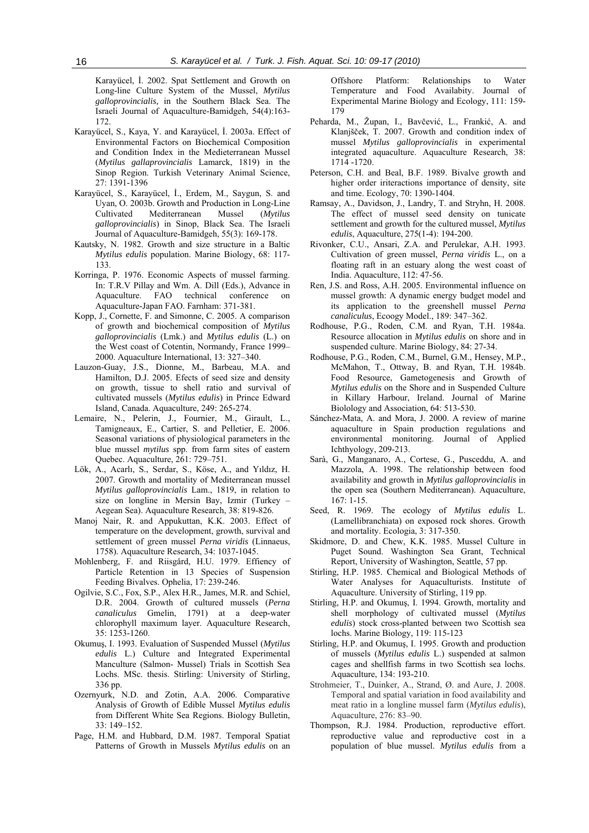Karayücel, İ. 2002. Spat Settlement and Growth on Long-line Culture System of the Mussel, *Mytilus galloprovincialis,* in the Southern Black Sea. The Israeli Journal of Aquaculture-Bamidgeh, 54(4):163- 172.

- Karayücel, S., Kaya, Y. and Karayücel, İ. 2003a. Effect of Environmental Factors on Biochemical Composition and Condition Index in the Medieterranean Mussel (*Mytilus gallaprovincialis* Lamarck, 1819) in the Sinop Region. Turkish Veterinary Animal Science, 27: 1391-1396
- Karayücel, S., Karayücel, İ., Erdem, M., Saygun, S. and Uyan, O. 2003b. Growth and Production in Long-Line Cultivated Mediterranean Mussel (*Mytilus galloprovincialis*) in Sinop, Black Sea. The Israeli Journal of Aquaculture-Bamidgeh, 55(3): 169-178.
- Kautsky, N. 1982. Growth and size structure in a Baltic *Mytilus edulis* population. Marine Biology, 68: 117- 133.
- Korringa, P. 1976. Economic Aspects of mussel farming. In: T.R.V Pillay and Wm. A. Dill (Eds.), Advance in Aquaculture. FAO technical conference on Aquaculture-Japan FAO. Farnham: 371-381.
- Kopp, J., Cornette, F. and Simonne, C. 2005. A comparison of growth and biochemical composition of *Mytilus galloprovincialis* (Lmk.) and *Mytilus edulis* (L.) on the West coast of Cotentin, Normandy, France 1999– 2000. Aquaculture International, 13: 327–340.
- Lauzon-Guay, J.S., Dionne, M., Barbeau, M.A. and Hamilton, D.J. 2005. Efects of seed size and density on growth, tissue to shell ratio and survival of cultivated mussels (*Mytilus edulis*) in Prince Edward Island, Canada. Aquaculture, 249: 265-274.
- Lemaire, N., Pelerin, J., Fournier, M., Girault, L., Tamigneaux, E., Cartier, S. and Pelletier, E. 2006. Seasonal variations of physiological parameters in the blue mussel *mytilus* spp. from farm sites of eastern Quebec. Aquaculture, 261: 729–751.
- Lök, A., Acarlı, S., Serdar, S., Köse, A., and Yıldız, H. 2007. Growth and mortality of Mediterranean mussel *Mytilus galloprovincialis* Lam., 1819, in relation to size on longline in Mersin Bay, Izmir (Turkey – Aegean Sea). Aquaculture Research, 38: 819-826.
- Manoj Nair, R. and Appukuttan, K.K. 2003. Effect of temperature on the development, growth, survival and settlement of green mussel *Perna viridis* (Linnaeus, 1758). Aquaculture Research, 34: 1037-1045.
- Mohlenberg, F. and Riisgård, H.U. 1979. Effiency of Particle Retention in 13 Species of Suspension Feeding Bivalves. Ophelia, 17: 239-246.
- Ogilvie, S.C., Fox, S.P., Alex H.R., James, M.R. and Schiel, D.R. 2004. Growth of cultured mussels (*Perna canaliculus* Gmelin, 1791) at a deep-water chlorophyll maximum layer. Aquaculture Research, 35: 1253-1260.
- Okumuş, I. 1993. Evaluation of Suspended Mussel (*Mytilus edulis* L.) Culture and Integrated Experimental Manculture (Salmon- Mussel) Trials in Scottish Sea Lochs. MSc. thesis. Stirling: University of Stirling, 336 pp.
- Ozernyurk, N.D. and Zotin, A.A. 2006. Comparative Analysis of Growth of Edible Mussel *Mytilus edulis* from Different White Sea Regions. Biology Bulletin,  $33 \cdot 149 - 152$
- Page, H.M. and Hubbard, D.M. 1987. Temporal Spatiat Patterns of Growth in Mussels *Mytilus edulis* on an

Offshore Platform: Relationships to Water Temperature and Food Availabity. Journal of Experimental Marine Biology and Ecology, 111: 159- 179

- Peharda, M., Župan, I., Bavčević, L., Frankić, A. and Klanjšček, T. 2007. Growth and condition index of mussel *Mytilus galloprovincialis* in experimental integrated aquaculture. Aquaculture Research, 38: 1714 -1720.
- Peterson, C.H. and Beal, B.F. 1989. Bivalve growth and higher order iriteractions importance of density, site and time. Ecology, 70: 1390-1404.
- Ramsay, A., Davidson, J., Landry, T. and Stryhn, H. 2008. The effect of mussel seed density on tunicate settlement and growth for the cultured mussel, *Mytilus edulis*, Aquaculture, 275(1-4): 194-200.
- Rivonker, C.U., Ansari, Z.A. and Perulekar, A.H. 1993. Cultivation of green mussel, *Perna viridis* L., on a floating raft in an estuary along the west coast of India. Aquaculture, 112: 47-56.
- Ren, J.S. and Ross, A.H. 2005. Environmental influence on mussel growth: A dynamic energy budget model and its application to the greenshell mussel *Perna canaliculus*, Ecoogy Model., 189: 347–362.
- Rodhouse, P.G., Roden, C.M. and Ryan, T.H. 1984a. Resource allocation in *Mytilus edulis* on shore and in suspended culture. Marine Biology, 84: 27-34.
- Rodhouse, P.G., Roden, C.M., Burnel, G.M., Hensey, M.P., McMahon, T., Ottway, B. and Ryan, T.H. 1984b. Food Resource, Gametogenesis and Growth of *Mytilus edulis* on the Shore and in Suspended Culture in Killary Harbour, Ireland. Journal of Marine Biolology and Association, 64: 513-530.
- Sánchez-Mata, A. and Mora, J. 2000. A review of marine aquaculture in Spain production regulations and environmental monitoring. Journal of Applied Ichthyology, 209-213.
- Sarà, G., Manganaro, A., Cortese, G., Pusceddu, A. and Mazzola, A. 1998. The relationship between food availability and growth in *Mytilus galloprovincialis* in the open sea (Southern Mediterranean). Aquaculture,  $167 \cdot 1 - 15$
- Seed, R. 1969. The ecology of *Mytilus edulis* L. (Lamellibranchiata) on exposed rock shores. Growth and mortality. Ecologia, 3: 317-350.
- Skidmore, D. and Chew, K.K. 1985. Mussel Culture in Puget Sound. Washington Sea Grant, Technical Report, University of Washington, Seattle, 57 pp.
- Stirling, H.P. 1985. Chemical and Biological Methods of Water Analyses for Aquaculturists. Institute of Aquaculture. University of Stirling, 119 pp.
- Stirling, H.P. and Okumuş, I. 1994. Growth, mortality and shell morphology of cultivated mussel (*Mytilus edulis*) stock cross-planted between two Scottish sea lochs. Marine Biology, 119: 115-123
- Stirling, H.P. and Okumuş, I. 1995. Growth and production of mussels (*Mytilus edulis* L.) suspended at salmon cages and shellfish farms in two Scottish sea lochs. Aquaculture, 134: 193-210.
- Strohmeier, T., Duinker, A., Strand, Ø. and Aure, J. 2008. Temporal and spatial variation in food availability and meat ratio in a longline mussel farm (*Mytilus edulis*), Aquaculture, 276: 83–90.
- Thompson, R.J. 1984. Production, reproductive effort. reproductive value and reproductive cost in a population of blue mussel. *Mytilus edulis* from a